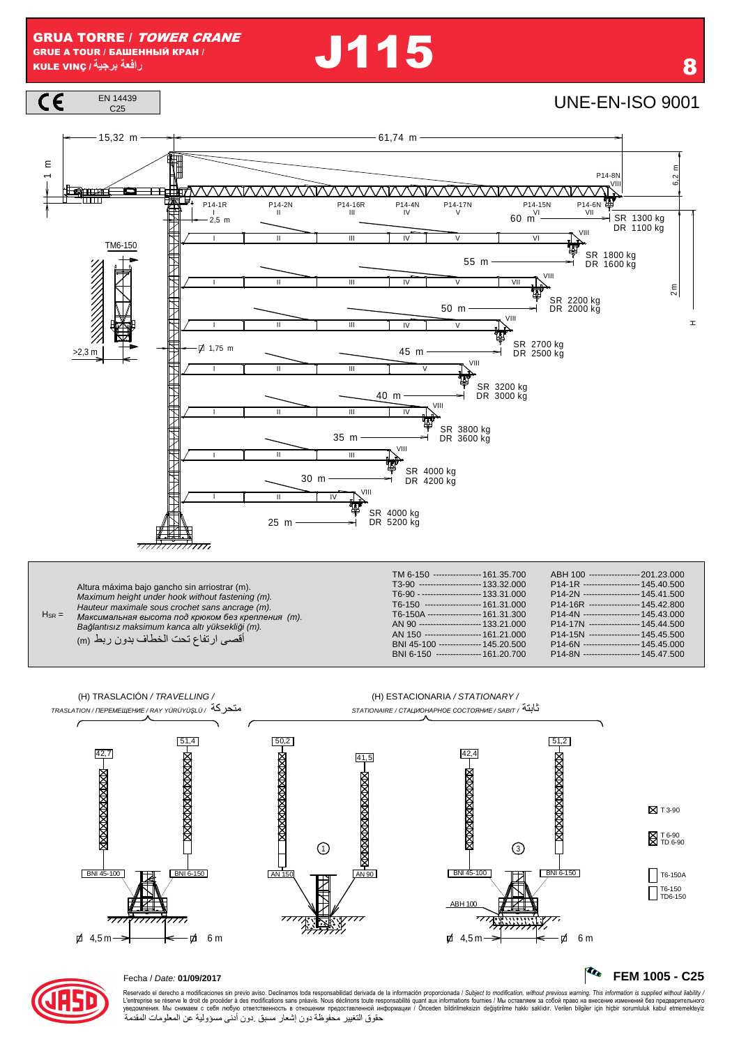**J115** 







### Fecha / Date: 01/09/2017

Reservado el derecho a modificaciones sin previo aviso. Declinamos toda responsabilidad derivada de la información proporcionada / Subject to modification, without previous warning. This information is supplied without li حقوق التغيير محفوظة دون إشعار مسبق دون أدنى مسؤولية عن المعلومات المقدمة

R

FEM 1005 - C25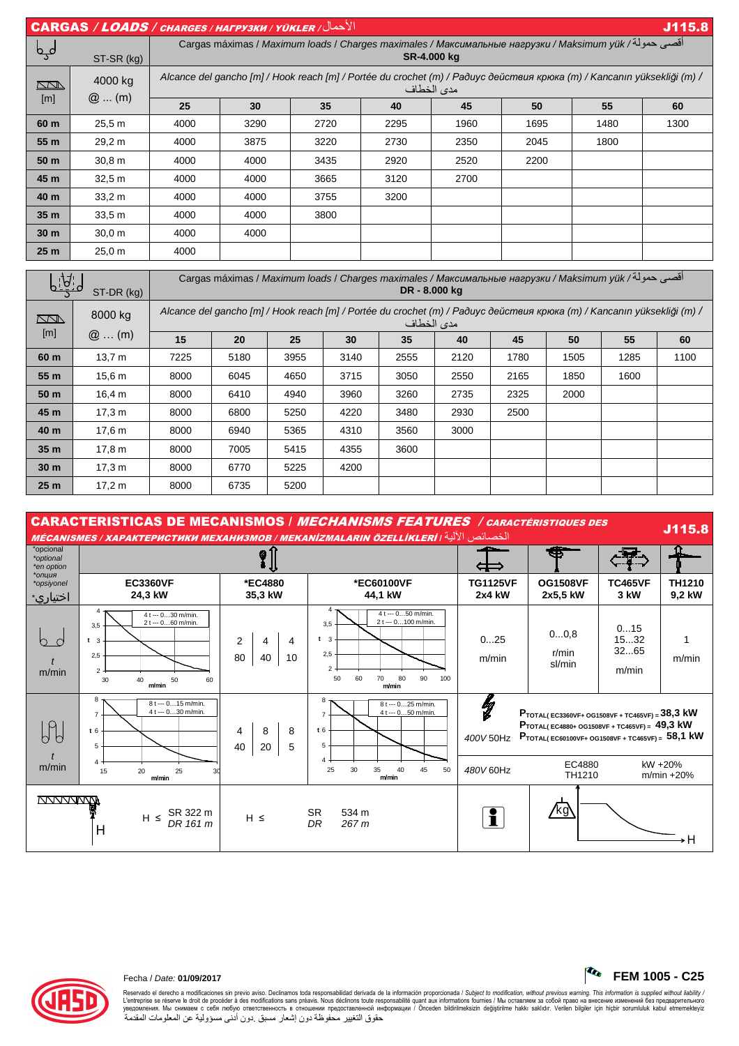| $  \text{CARGAS} / \text{LOADS} / \text{CHARGES} / \text{HATPY3KH} / \text{YÜKLER} /$<br>J115.8 |                    |                                                                                                                                       |                                                                                                                      |      |      |      |      |      |      |  |  |
|-------------------------------------------------------------------------------------------------|--------------------|---------------------------------------------------------------------------------------------------------------------------------------|----------------------------------------------------------------------------------------------------------------------|------|------|------|------|------|------|--|--|
| لمہا                                                                                            | ST-SR (kg)         |                                                                                                                                       | أقصى حمولة/ Cargas máximas / Maximum loads / Charges maximales / Максимальные нагрузки / Maksimum yük<br>SR-4.000 kg |      |      |      |      |      |      |  |  |
| <u>kan</u>                                                                                      | 4000 kg<br>$@$ (m) | Alcance del gancho [m] / Hook reach [m] / Portée du crochet (m) / Paðuyc действия крюка (m) / Kancanın yüksekliği (m) /<br>مدى الخطاف |                                                                                                                      |      |      |      |      |      |      |  |  |
| [m]                                                                                             |                    | 25                                                                                                                                    | 30                                                                                                                   | 35   | 40   | 45   | 50   | 55   | 60   |  |  |
| 60 m                                                                                            | 25.5 m             | 4000                                                                                                                                  | 3290                                                                                                                 | 2720 | 2295 | 1960 | 1695 | 1480 | 1300 |  |  |
| 55 m                                                                                            | 29,2 m             | 4000                                                                                                                                  | 3875                                                                                                                 | 3220 | 2730 | 2350 | 2045 | 1800 |      |  |  |
| 50 m                                                                                            | 30.8 m             | 4000                                                                                                                                  | 4000                                                                                                                 | 3435 | 2920 | 2520 | 2200 |      |      |  |  |
| 45 m                                                                                            | 32.5 m             | 4000                                                                                                                                  | 4000                                                                                                                 | 3665 | 3120 | 2700 |      |      |      |  |  |
| 40 m                                                                                            | 33.2 m             | 4000                                                                                                                                  | 4000                                                                                                                 | 3755 | 3200 |      |      |      |      |  |  |
| 35 <sub>m</sub>                                                                                 | 33.5 <sub>m</sub>  | 4000                                                                                                                                  | 4000                                                                                                                 | 3800 |      |      |      |      |      |  |  |
| 30 <sub>m</sub>                                                                                 | 30.0 m             | 4000                                                                                                                                  | 4000                                                                                                                 |      |      |      |      |      |      |  |  |
| 25 <sub>m</sub>                                                                                 | 25.0 m             | 4000                                                                                                                                  |                                                                                                                      |      |      |      |      |      |      |  |  |

| <u>    A</u><br>ST-DR (kg) |                    | أقصي حمولة/ Cargas máximas / Maximum loads / Charges maximales / Максимальные нагрузки / Maksimum γük<br>DR - 8.000 kg                |      |      |      |      |      |      |      |      |      |
|----------------------------|--------------------|---------------------------------------------------------------------------------------------------------------------------------------|------|------|------|------|------|------|------|------|------|
| <u>kana</u>                | 8000 kg<br>$@$ (m) | Alcance del gancho [m] / Hook reach [m] / Portée du crochet (m) / Радиус действия крюка (m) / Kancanın yüksekliği (m) /<br>مدى الخطاف |      |      |      |      |      |      |      |      |      |
| [m]                        |                    | 15                                                                                                                                    | 20   | 25   | 30   | 35   | 40   | 45   | 50   | 55   | 60   |
| 60 m                       | 13.7 m             | 7225                                                                                                                                  | 5180 | 3955 | 3140 | 2555 | 2120 | 1780 | 1505 | 1285 | 1100 |
| 55 m                       | 15.6 m             | 8000                                                                                                                                  | 6045 | 4650 | 3715 | 3050 | 2550 | 2165 | 1850 | 1600 |      |
| 50 m                       | 16,4 m             | 8000                                                                                                                                  | 6410 | 4940 | 3960 | 3260 | 2735 | 2325 | 2000 |      |      |
| 45 m                       | 17,3 m             | 8000                                                                                                                                  | 6800 | 5250 | 4220 | 3480 | 2930 | 2500 |      |      |      |
| 40 m                       | 17.6 m             | 8000                                                                                                                                  | 6940 | 5365 | 4310 | 3560 | 3000 |      |      |      |      |
| 35 <sub>m</sub>            | 17,8 m             | 8000                                                                                                                                  | 7005 | 5415 | 4355 | 3600 |      |      |      |      |      |
| 30 <sub>m</sub>            | 17,3 m             | 8000                                                                                                                                  | 6770 | 5225 | 4200 |      |      |      |      |      |      |
| 25 <sub>m</sub>            | 17,2 m             | 8000                                                                                                                                  | 6735 | 5200 |      |      |      |      |      |      |      |





 $-1$   $1$   $1$   $1$ 

Reservado el derecho a modificaciones sin previo aviso. Declinamos toda responsabilidad derivada de la información proporcionada / Subjec*t to modification, without previous warning. This information is supplied without l* حقوق التغيير محفوظة دون إشعار مسبق دون أدنى مسؤولية عن المعلومات المقدمة

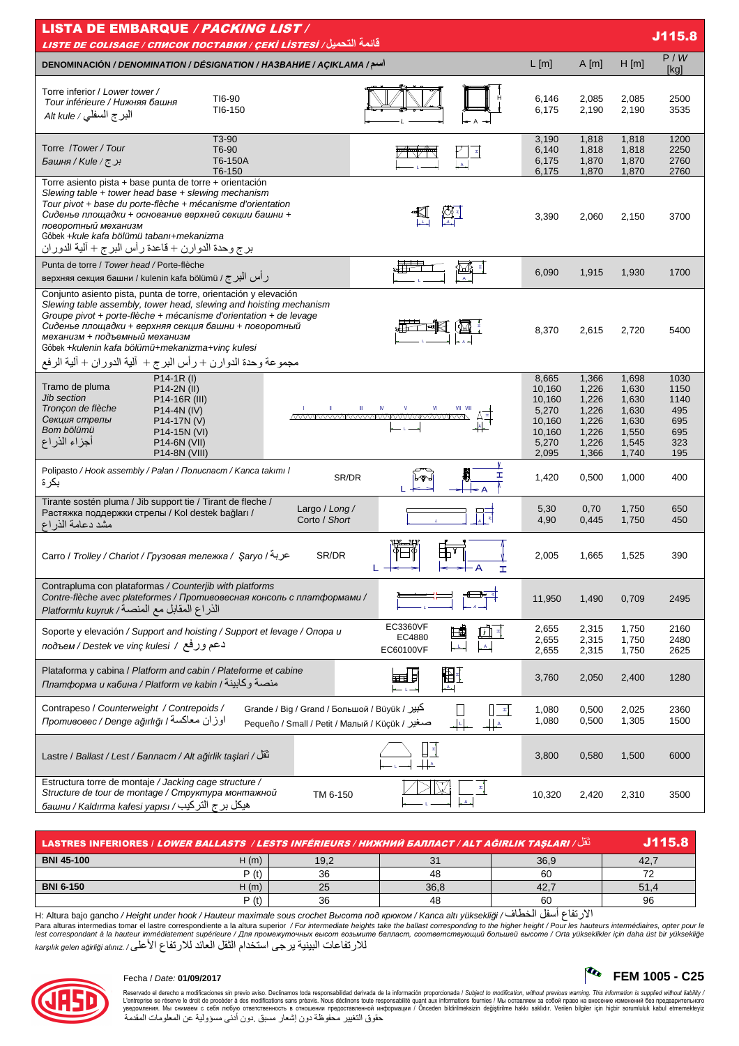| <b>LISTA DE EMBARQUE / PACKING LIST /</b><br>J115.8<br>قائمة التحميل/ LISTE DE COLISAGE / СПИСОК ПОСТАВКИ / ÇEKİ LİSTESİ                                                                                                                                                                                                                                                                                               |                                                                          |                                                                      |                                                                      |                                                         |  |  |  |
|------------------------------------------------------------------------------------------------------------------------------------------------------------------------------------------------------------------------------------------------------------------------------------------------------------------------------------------------------------------------------------------------------------------------|--------------------------------------------------------------------------|----------------------------------------------------------------------|----------------------------------------------------------------------|---------------------------------------------------------|--|--|--|
| <b>DENOMINACIÓN / DENOMINATION / DÉSIGNATION / HA3BAHUE / AÇIKLAMA /سم/</b>                                                                                                                                                                                                                                                                                                                                            | L[m]                                                                     | A[m]                                                                 | $H$ [m]                                                              | P/W<br>[kg]                                             |  |  |  |
| Torre inferior / Lower tower /<br>TI6-90<br>Tour inférieure / Нижняя башня<br>TI6-150<br>البرج السفلي / Alt kule                                                                                                                                                                                                                                                                                                       | 6,146<br>6,175                                                           | 2,085<br>2,190                                                       | 2,085<br>2,190                                                       | 2500<br>3535                                            |  |  |  |
| T <sub>3</sub> -90<br>Torre /Tower/Tour<br>T6-90<br>T6-150A<br>برج/Kule/ج<br>T6-150                                                                                                                                                                                                                                                                                                                                    | 3,190<br>6,140<br>6,175<br>6,175                                         | 1,818<br>1,818<br>1,870<br>1,870                                     | 1,818<br>1,818<br>1,870<br>1,870                                     | 1200<br>2250<br>2760<br>2760                            |  |  |  |
| Torre asiento pista + base punta de torre + orientación<br>Slewing table $+$ tower head base $+$ slewing mechanism<br>Tour pivot + base du porte-flèche + mécanisme d'orientation<br>Сиденье площадки + основание верхней секции башни +<br>поворотный механизм<br>Göbek +kule kafa bölümü tabanı+mekanizma<br>برج وحدة الدوارن + قاعدة ر أس البرج + ألية الدوران                                                      | 3,390                                                                    | 2,060                                                                | 2,150                                                                | 3700                                                    |  |  |  |
| Punta de torre / Tower head / Porte-flèche<br>верхняя секция башни / kulenin kafa bölümü / رأس البرج /                                                                                                                                                                                                                                                                                                                 | 6,090                                                                    | 1,915                                                                | 1,930                                                                | 1700                                                    |  |  |  |
| Conjunto asiento pista, punta de torre, orientación y elevación<br>Slewing table assembly, tower head, slewing and hoisting mechanism<br>Groupe pivot + porte-flèche + mécanisme d'orientation + de levage<br>Сиденье площадки + верхняя секция башни + поворотный<br>механизм + подъемный механизм<br>Göbek +kulenin kafa bölümü+mekanizma+vinc kulesi<br>مجموعة وحدة الدوارن + رأس البرج + ألية الدوران + ألية الرفع | 8,370                                                                    | 2,615                                                                | 2,720                                                                | 5400                                                    |  |  |  |
| $P14-1R (I)$<br>Tramo de pluma<br>P14-2N (II)<br>Jib section<br>P14-16R (III)<br>Tronçon de flèche<br>P14-4N (IV)<br><u>MVWWWWWWWWWWWWWWWWW</u><br>Секция стрелы<br>P14-17N (V)<br>Bom bölümü<br>P14-15N (VI)<br>أجزاء الذراع<br>P <sub>14</sub> -6N (VII)<br>P14-8N (VIII)                                                                                                                                            | 8,665<br>10,160<br>10,160<br>5,270<br>10,160<br>10,160<br>5,270<br>2,095 | 1,366<br>1,226<br>1,226<br>1,226<br>1,226<br>1,226<br>1,226<br>1,366 | 1,698<br>1,630<br>1,630<br>1,630<br>1,630<br>1,550<br>1,545<br>1,740 | 1030<br>1150<br>1140<br>495<br>695<br>695<br>323<br>195 |  |  |  |
| Polipasto / Hook assembly / Palan / Полиспаст / Kanca takımı /<br>I<br>SR/DR<br>بكرة                                                                                                                                                                                                                                                                                                                                   | 1,420                                                                    | 0,500                                                                | 1,000                                                                | 400                                                     |  |  |  |
| Tirante sostén pluma / Jib support tie / Tirant de fleche /<br>Largo / Long /<br>Растяжка поддержки стрелы / Kol destek bağları /<br>Corto / Short<br>مشد دعامة الذر اع                                                                                                                                                                                                                                                | 5,30<br>4,90                                                             | 0,70<br>0,445                                                        | 1,750<br>1,750                                                       | 650<br>450                                              |  |  |  |
| SR/DR<br>Carro / Trolley / Chariot / Грузовая тележка / Saryo / عربة<br>H                                                                                                                                                                                                                                                                                                                                              | 2,005                                                                    | 1,665                                                                | 1,525                                                                | 390                                                     |  |  |  |
| Contrapluma con plataformas / Counterjib with platforms<br>Contre-flèche avec plateformes / Противовесная консоль с платформами /<br>الذراع المقابل مع المنصة/ Platformlu kuyruk                                                                                                                                                                                                                                       | 11,950                                                                   | 1,490                                                                | 0,709                                                                | 2495                                                    |  |  |  |
| EC3360VF<br>Soporte y elevación / Support and hoisting / Support et levage / Onopa u<br>EC4880<br>دعم ورفع / подъем / Destek ve vinç kulesi<br>EC60100VF                                                                                                                                                                                                                                                               | 2,655<br>2,655<br>2,655                                                  | 2,315<br>2,315<br>2,315                                              | 1,750<br>1,750<br>1,750                                              | 2160<br>2480<br>2625                                    |  |  |  |
| Plataforma y cabina / Platform and cabin / Plateforme et cabine<br>围<br>こうしょう きんじょう こうきょう こうしゃく こうしゃく こうしゃく こうしゃく こうしゃ こうしゃ こうしゃ こうしゃ こうしゃ<br>Платформа и кабина / Platform ve kabin / منصبة وكابينة<br>$A_{-}$                                                                                                                                                                                                        | 3,760                                                                    | 2,050                                                                | 2,400                                                                | 1280                                                    |  |  |  |
| Contrapeso / Counterweight / Contrepoids /<br>Grande / Big / Grand / Большой / Büyük / کبیر<br>$\begin{bmatrix} \pm \end{bmatrix}$<br>اوزان معاكسة / Противовес / Denge ağırlığı<br>Pequeño / Small / Реtit / Малый / Küçük / صغير<br>╫                                                                                                                                                                                | 1,080<br>1,080                                                           | 0,500<br>0,500                                                       | 2,025<br>1,305                                                       | 2360<br>1500                                            |  |  |  |
| لْقُلْ / Lastre / Ballast / Lest / Балласт / Alt ağırlık taşları / تَقُلْ                                                                                                                                                                                                                                                                                                                                              | 3,800                                                                    | 0,580                                                                | 1,500                                                                | 6000                                                    |  |  |  |
| Estructura torre de montaje / Jacking cage structure /<br>Structure de tour de montage / Структура монтажной<br>TM 6-150<br>هيكل برج التركيب/ башни / Kaldırma kafesi yapısı                                                                                                                                                                                                                                           | 10,320                                                                   | 2,420                                                                | 2,310                                                                | 3500                                                    |  |  |  |

| َ ثَقْلَ/ LASTRES INFERIORES / <i>LOWER BALLASTS  / LESTS INFÉRIEURS / НИЖНИЙ БАЛЛАСТ <u>/ ALT AĞIRLIK TAŞLARI /</u> الْق</i> |       |      |         |      |      |  |
|-------------------------------------------------------------------------------------------------------------------------------|-------|------|---------|------|------|--|
| <b>BNI 45-100</b>                                                                                                             | H(m)  | 19,2 | $\cdot$ | 36,9 | 42.  |  |
|                                                                                                                               | P (t) | 36   | 48      | 60   |      |  |
| <b>BNI 6-150</b>                                                                                                              | H (m) | 25   | 36.8    |      | 51.4 |  |
|                                                                                                                               | P (t) | 36   | 48      | 60   | 96   |  |

H: Altura bajo gancho / Height under hook / Hauteur maximale sous crochet Bыcoma под крюком / Kanca altı yüksekliği الأرتفاع أسفل الخطاف/ H: Altura bajo gancho / Height under hook / Hauteur maximale sous crochet Bыcoma n للار تفاعات البينية ير جي استخدام الثقل العائد للار تفاع الأعلى/ karşılık gelen ağirliği alınız



# Fecha / Date: **01/09/2017 FEM 1005 - C25**

Reservado el derecho a modificaciones sin previo aviso. Declinamos toda responsabilidad derivada de la información proporcionada / Subjec*t to modification, without previous warning. This information is supplied without*